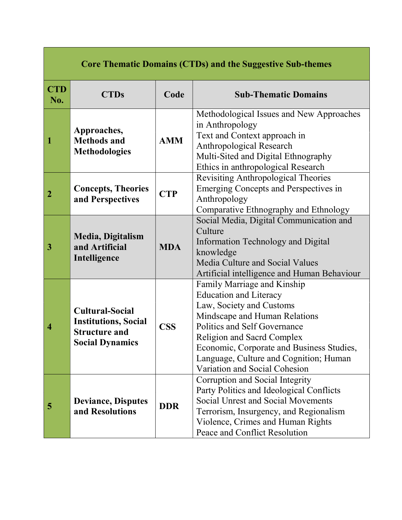| <b>Core Thematic Domains (CTDs) and the Suggestive Sub-themes</b> |                                                                                                         |            |                                                                                                                                                                                                                                                                                                                 |
|-------------------------------------------------------------------|---------------------------------------------------------------------------------------------------------|------------|-----------------------------------------------------------------------------------------------------------------------------------------------------------------------------------------------------------------------------------------------------------------------------------------------------------------|
| <b>CTD</b><br>No.                                                 | <b>CTDs</b>                                                                                             | Code       | <b>Sub-Thematic Domains</b>                                                                                                                                                                                                                                                                                     |
| 1                                                                 | Approaches,<br><b>Methods and</b><br><b>Methodologies</b>                                               | <b>AMM</b> | Methodological Issues and New Approaches<br>in Anthropology<br>Text and Context approach in<br>Anthropological Research<br>Multi-Sited and Digital Ethnography<br>Ethics in anthropological Research                                                                                                            |
| 2                                                                 | <b>Concepts, Theories</b><br>and Perspectives                                                           | <b>CTP</b> | Revisiting Anthropological Theories<br>Emerging Concepts and Perspectives in<br>Anthropology<br>Comparative Ethnography and Ethnology                                                                                                                                                                           |
| 3                                                                 | Media, Digitalism<br>and Artificial<br>Intelligence                                                     | <b>MDA</b> | Social Media, Digital Communication and<br>Culture<br>Information Technology and Digital<br>knowledge<br>Media Culture and Social Values<br>Artificial intelligence and Human Behaviour                                                                                                                         |
| 4                                                                 | <b>Cultural-Social</b><br><b>Institutions, Social</b><br><b>Structure and</b><br><b>Social Dynamics</b> | <b>CSS</b> | Family Marriage and Kinship<br><b>Education and Literacy</b><br>Law, Society and Customs<br>Mindscape and Human Relations<br>Politics and Self Governance<br>Religion and Sacrd Complex<br>Economic, Corporate and Business Studies,<br>Language, Culture and Cognition; Human<br>Variation and Social Cohesion |
| 5                                                                 | <b>Deviance, Disputes</b><br>and Resolutions                                                            | <b>DDR</b> | Corruption and Social Integrity<br>Party Politics and Ideological Conflicts<br>Social Unrest and Social Movements<br>Terrorism, Insurgency, and Regionalism<br>Violence, Crimes and Human Rights<br>Peace and Conflict Resolution                                                                               |

г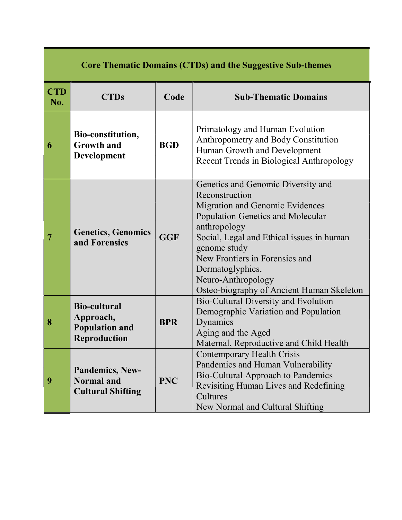| <b>Core Thematic Domains (CTDs) and the Suggestive Sub-themes</b> |                                                                                  |            |                                                                                                                                                                                                                                                                                                                                           |
|-------------------------------------------------------------------|----------------------------------------------------------------------------------|------------|-------------------------------------------------------------------------------------------------------------------------------------------------------------------------------------------------------------------------------------------------------------------------------------------------------------------------------------------|
| <b>CTD</b><br>No.                                                 | <b>CTDs</b>                                                                      | Code       | <b>Sub-Thematic Domains</b>                                                                                                                                                                                                                                                                                                               |
| 6                                                                 | Bio-constitution,<br><b>Growth and</b><br><b>Development</b>                     | <b>BGD</b> | Primatology and Human Evolution<br>Anthropometry and Body Constitution<br>Human Growth and Development<br>Recent Trends in Biological Anthropology                                                                                                                                                                                        |
| 7                                                                 | <b>Genetics, Genomics</b><br>and Forensics                                       | <b>GGF</b> | Genetics and Genomic Diversity and<br>Reconstruction<br>Migration and Genomic Evidences<br><b>Population Genetics and Molecular</b><br>anthropology<br>Social, Legal and Ethical issues in human<br>genome study<br>New Frontiers in Forensics and<br>Dermatoglyphics,<br>Neuro-Anthropology<br>Osteo-biography of Ancient Human Skeleton |
| 8                                                                 | <b>Bio-cultural</b><br>Approach,<br><b>Population and</b><br><b>Reproduction</b> | <b>BPR</b> | Bio-Cultural Diversity and Evolution<br>Demographic Variation and Population<br>Dynamics<br>Aging and the Aged<br>Maternal, Reproductive and Child Health                                                                                                                                                                                 |
| 9                                                                 | Pandemics, New-<br>Normal and<br><b>Cultural Shifting</b>                        | <b>PNC</b> | Contemporary Health Crisis<br>Pandemics and Human Vulnerability<br>Bio-Cultural Approach to Pandemics<br>Revisiting Human Lives and Redefining<br>Cultures<br>New Normal and Cultural Shifting                                                                                                                                            |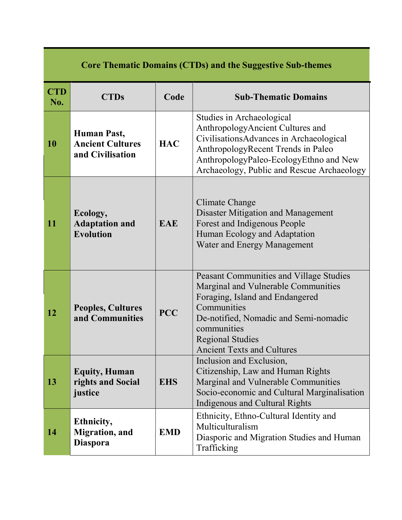| <b>Core Thematic Domains (CTDs) and the Suggestive Sub-themes</b> |                                                                   |            |                                                                                                                                                                                                                                                          |
|-------------------------------------------------------------------|-------------------------------------------------------------------|------------|----------------------------------------------------------------------------------------------------------------------------------------------------------------------------------------------------------------------------------------------------------|
| <b>CTD</b><br>No.                                                 | <b>CTDs</b>                                                       | Code       | <b>Sub-Thematic Domains</b>                                                                                                                                                                                                                              |
| 10                                                                | <b>Human Past,</b><br><b>Ancient Cultures</b><br>and Civilisation | <b>HAC</b> | Studies in Archaeological<br>AnthropologyAncient Cultures and<br>CivilisationsAdvances in Archaeological<br>AnthropologyRecent Trends in Paleo<br>AnthropologyPaleo-EcologyEthno and New<br>Archaeology, Public and Rescue Archaeology                   |
| 11                                                                | Ecology,<br><b>Adaptation and</b><br><b>Evolution</b>             | <b>EAE</b> | Climate Change<br>Disaster Mitigation and Management<br>Forest and Indigenous People<br>Human Ecology and Adaptation<br>Water and Energy Management                                                                                                      |
| 12                                                                | <b>Peoples, Cultures</b><br>and Communities                       | <b>PCC</b> | Peasant Communities and Village Studies<br>Marginal and Vulnerable Communities<br>Foraging, Island and Endangered<br>Communities<br>De-notified, Nomadic and Semi-nomadic<br>communities<br><b>Regional Studies</b><br><b>Ancient Texts and Cultures</b> |
| 13                                                                | <b>Equity, Human</b><br>rights and Social<br>justice              | <b>EHS</b> | Inclusion and Exclusion,<br>Citizenship, Law and Human Rights<br>Marginal and Vulnerable Communities<br>Socio-economic and Cultural Marginalisation<br>Indigenous and Cultural Rights                                                                    |
| 14                                                                | Ethnicity,<br><b>Migration</b> , and<br><b>Diaspora</b>           | <b>EMD</b> | Ethnicity, Ethno-Cultural Identity and<br>Multiculturalism<br>Diasporic and Migration Studies and Human<br>Trafficking                                                                                                                                   |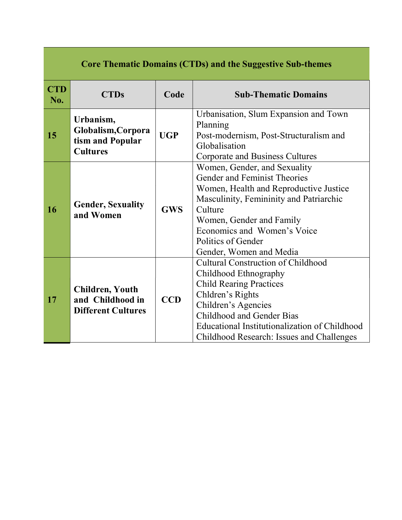| <b>Core Thematic Domains (CTDs) and the Suggestive Sub-themes</b> |                                                                         |            |                                                                                                                                                                                                                                                                            |
|-------------------------------------------------------------------|-------------------------------------------------------------------------|------------|----------------------------------------------------------------------------------------------------------------------------------------------------------------------------------------------------------------------------------------------------------------------------|
| <b>CTD</b><br>No.                                                 | <b>CTDs</b>                                                             | Code       | <b>Sub-Thematic Domains</b>                                                                                                                                                                                                                                                |
| 15                                                                | Urbanism,<br>Globalism, Corpora<br>tism and Popular<br><b>Cultures</b>  | <b>UGP</b> | Urbanisation, Slum Expansion and Town<br>Planning<br>Post-modernism, Post-Structuralism and<br>Globalisation<br>Corporate and Business Cultures                                                                                                                            |
| 16                                                                | <b>Gender, Sexuality</b><br>and Women                                   | <b>GWS</b> | Women, Gender, and Sexuality<br>Gender and Feminist Theories<br>Women, Health and Reproductive Justice<br>Masculinity, Femininity and Patriarchic<br>Culture<br>Women, Gender and Family<br>Economics and Women's Voice<br>Politics of Gender<br>Gender, Women and Media   |
| 17                                                                | <b>Children, Youth</b><br>and Childhood in<br><b>Different Cultures</b> | <b>CCD</b> | <b>Cultural Construction of Childhood</b><br>Childhood Ethnography<br><b>Child Rearing Practices</b><br>Chldren's Rights<br>Children's Agencies<br>Childhood and Gender Bias<br>Educational Institutionalization of Childhood<br>Childhood Research: Issues and Challenges |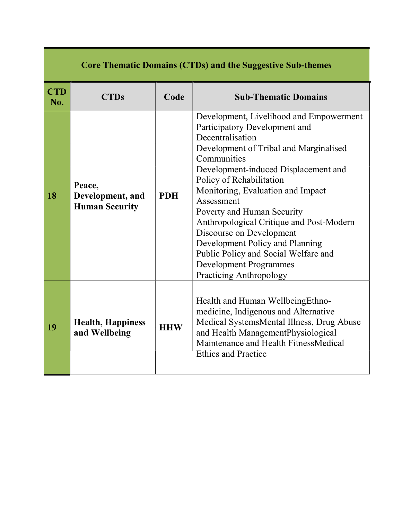| <b>Core Thematic Domains (CTDs) and the Suggestive Sub-themes</b> |                                                     |            |                                                                                                                                                                                                                                                                                                                                                                                                                                                                                                                           |
|-------------------------------------------------------------------|-----------------------------------------------------|------------|---------------------------------------------------------------------------------------------------------------------------------------------------------------------------------------------------------------------------------------------------------------------------------------------------------------------------------------------------------------------------------------------------------------------------------------------------------------------------------------------------------------------------|
| <b>CTD</b><br>No.                                                 | <b>CTDs</b>                                         | Code       | <b>Sub-Thematic Domains</b>                                                                                                                                                                                                                                                                                                                                                                                                                                                                                               |
| 18                                                                | Peace,<br>Development, and<br><b>Human Security</b> | <b>PDH</b> | Development, Livelihood and Empowerment<br>Participatory Development and<br>Decentralisation<br>Development of Tribal and Marginalised<br>Communities<br>Development-induced Displacement and<br>Policy of Rehabilitation<br>Monitoring, Evaluation and Impact<br>Assessment<br>Poverty and Human Security<br>Anthropological Critique and Post-Modern<br>Discourse on Development<br>Development Policy and Planning<br>Public Policy and Social Welfare and<br><b>Development Programmes</b><br>Practicing Anthropology |
| 19                                                                | <b>Health, Happiness</b><br>and Wellbeing           | <b>HHW</b> | Health and Human Wellbeing Ethno-<br>medicine, Indigenous and Alternative<br>Medical SystemsMental Illness, Drug Abuse<br>and Health ManagementPhysiological<br>Maintenance and Health FitnessMedical<br><b>Ethics and Practice</b>                                                                                                                                                                                                                                                                                       |